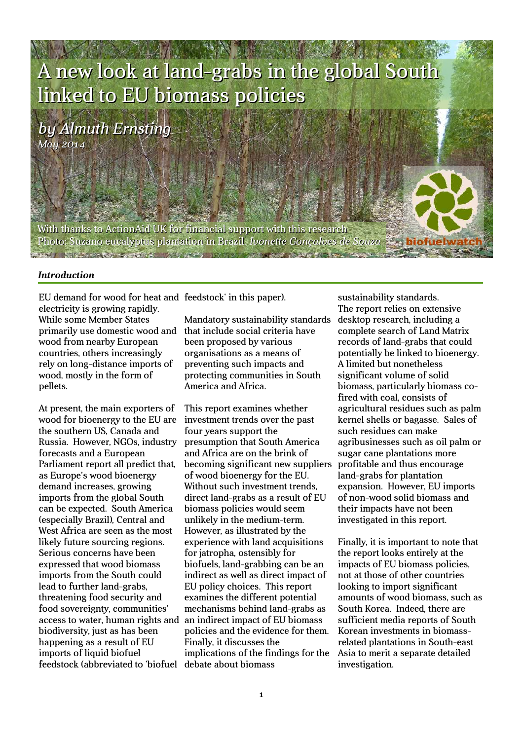# A new look at land-grabs in the global South linked to EU biomass policies

*by Almuth Ernsting May 2014*

With thanks to ActionAid UK for financial support with this research Photo: Suzano eucalyptus plantation in Brazil. *Ivonette Gonçalves de Souza* **START AND AND ARRANGEMENT AND ACCOM** 

#### *Introduction*

EU demand for wood for heat and feedstock' in this paper). electricity is growing rapidly. While some Member States primarily use domestic wood and that include social criteria have wood from nearby European countries, others increasingly rely on long-distance imports of wood, mostly in the form of pellets.

At present, the main exporters of wood for bioenergy to the EU are the southern US, Canada and Russia. However, NGOs, industry forecasts and a European Parliament report all predict that, as Europe's wood bioenergy demand increases, growing imports from the global South can be expected. South America (especially Brazil), Central and West Africa are seen as the most likely future sourcing regions. Serious concerns have been expressed that wood biomass imports from the South could lead to further land-grabs, threatening food security and food sovereignty, communities' access to water, human rights and biodiversity, just as has been happening as a result of EU imports of liquid biofuel feedstock (abbreviated to 'biofuel debate about biomass

Mandatory sustainability standards been proposed by various organisations as a means of preventing such impacts and protecting communities in South America and Africa.

This report examines whether investment trends over the past four years support the presumption that South America and Africa are on the brink of becoming significant new suppliers of wood bioenergy for the EU. Without such investment trends, direct land-grabs as a result of EU biomass policies would seem unlikely in the medium-term. However, as illustrated by the experience with land acquisitions for jatropha, ostensibly for biofuels, land-grabbing can be an indirect as well as direct impact of EU policy choices. This report examines the different potential mechanisms behind land-grabs as an indirect impact of EU biomass policies and the evidence for them. Finally, it discusses the implications of the findings for the

sustainability standards. The report relies on extensive desktop research, including a complete search of Land Matrix records of land-grabs that could potentially be linked to bioenergy. A limited but nonetheless significant volume of solid biomass, particularly biomass cofired with coal, consists of agricultural residues such as palm kernel shells or bagasse. Sales of such residues can make agribusinesses such as oil palm or sugar cane plantations more profitable and thus encourage land-grabs for plantation expansion. However, EU imports of non-wood solid biomass and their impacts have not been investigated in this report.

Finally, it is important to note that the report looks entirely at the impacts of EU biomass policies, not at those of other countries looking to import significant amounts of wood biomass, such as South Korea. Indeed, there are sufficient media reports of South Korean investments in biomassrelated plantations in South-east Asia to merit a separate detailed investigation.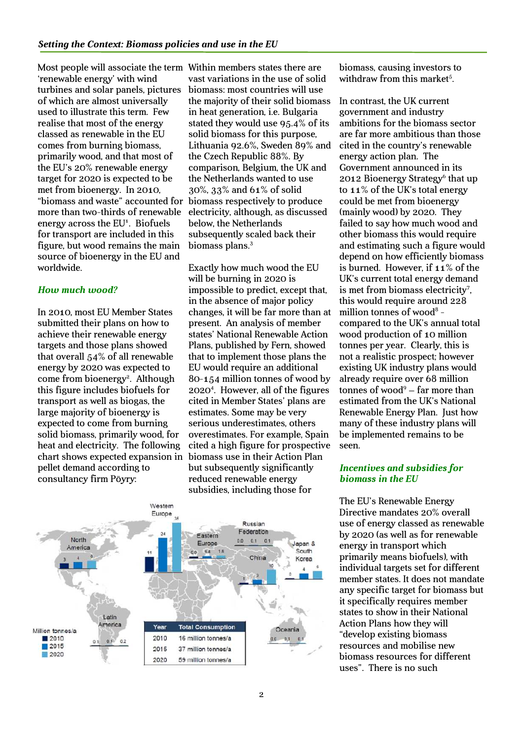Most people will associate the term Within members states there are 'renewable energy' with wind turbines and solar panels, pictures of which are almost universally used to illustrate this term. Few realise that most of the energy classed as renewable in the EU comes from burning biomass, primarily wood, and that most of the EU's 20% renewable energy target for 2020 is expected to be met from bioenergy. In 2010, "biomass and waste" accounted for more than two-thirds of renewable energy across the EU<sup>1</sup>. Biofuels for transport are included in this figure, but wood remains the main source of bioenergy in the EU and worldwide.

#### *How much wood?*

In 2010, most EU Member States submitted their plans on how to achieve their renewable energy targets and those plans showed that overall 54% of all renewable energy by 2020 was expected to come from bioenergy<sup>2</sup>. Although this figure includes biofuels for transport as well as biogas, the large majority of bioenergy is expected to come from burning solid biomass, primarily wood, for heat and electricity. The following chart shows expected expansion in pellet demand according to consultancy firm Pöyry:

vast variations in the use of solid biomass: most countries will use the majority of their solid biomass in heat generation, i.e. Bulgaria stated they would use 95.4% of its solid biomass for this purpose, Lithuania 92.6%, Sweden 89% and the Czech Republic 88%. By comparison, Belgium, the UK and the Netherlands wanted to use 30%, 33% and 61% of solid biomass respectively to produce electricity, although, as discussed below, the Netherlands subsequently scaled back their biomass plans.<sup>3</sup>

Exactly how much wood the EU will be burning in 2020 is impossible to predict, except that, in the absence of major policy changes, it will be far more than at present. An analysis of member states' National Renewable Action Plans, published by Fern, showed that to implement those plans the EU would require an additional 80-154 million tonnes of wood by 2020<sup>4</sup> . However, all of the figures cited in Member States' plans are estimates. Some may be very serious underestimates, others overestimates. For example, Spain cited a high figure for prospective biomass use in their Action Plan but subsequently significantly reduced renewable energy subsidies, including those for



biomass, causing investors to withdraw from this market<sup>5</sup>.

In contrast, the UK current government and industry ambitions for the biomass sector are far more ambitious than those cited in the country's renewable energy action plan. The Government announced in its 2012 Bioenergy Strategy<sup>6</sup> that up to 11% of the UK's total energy could be met from bioenergy (mainly wood) by 2020. They failed to say how much wood and other biomass this would require and estimating such a figure would depend on how efficiently biomass is burned. However, if 11% of the UK's current total energy demand is met from biomass electricity<sup>7</sup>, this would require around 228 million tonnes of wood<sup>8</sup> compared to the UK's annual total wood production of 10 million tonnes per year. Clearly, this is not a realistic prospect; however existing UK industry plans would already require over 68 million tonnes of wood<sup>9</sup> – far more than estimated from the UK's National Renewable Energy Plan. Just how many of these industry plans will be implemented remains to be seen.

#### *Incentives and subsidies for biomass in the EU*

The EU's Renewable Energy Directive mandates 20% overall use of energy classed as renewable by 2020 (as well as for renewable energy in transport which primarily means biofuels), with individual targets set for different member states. It does not mandate any specific target for biomass but it specifically requires member states to show in their National Action Plans how they will "develop existing biomass resources and mobilise new biomass resources for different uses". There is no such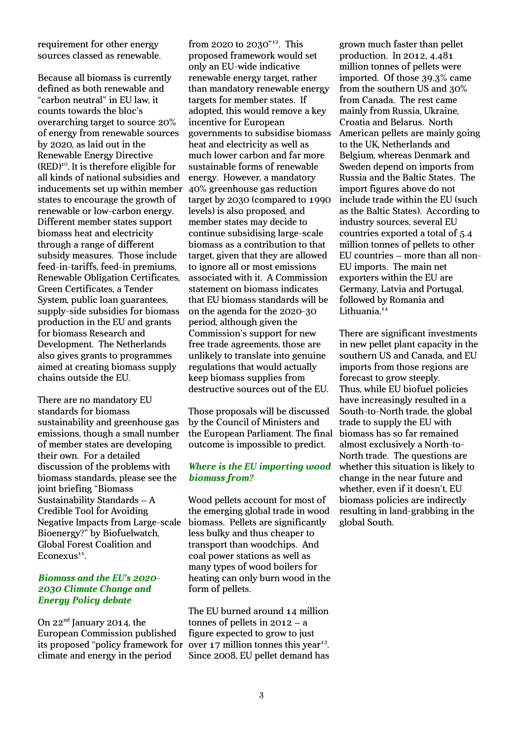requirement for other energy sources classed as renewable.

Because all biomass is currently defined as both renewable and "carbon neutral" in EU law, it counts towards the bloc's overarching target to source 20% of energy from renewable sources by 2020, as laid out in the Renewable Energy Directive  $(RED)^{10}$ . It is therefore eligible for all kinds of national subsidies and inducements set up within member states to encourage the growth of renewable or low-carbon energy. Different member states support biomass heat and electricity through a range of different subsidy measures. Those include feed-in-tariffs, feed-in premiums, Renewable Obligation Certificates, Green Certificates, a Tender System, public loan guarantees, supply-side subsidies for biomass production in the EU and grants for biomass Research and Development. The Netherlands also gives grants to programmes aimed at creating biomass supply chains outside the EU.

There are no mandatory EU standards for biomass sustainability and greenhouse gas emissions, though a small number of member states are developing their own. For a detailed discussion of the problems with biomass standards, please see the joint briefing "Biomass Sustainability Standards – A Credible Tool for Avoiding Negative Impacts from Large-scale Bioenergy?" by Biofuelwatch, Global Forest Coalition and Econexus<sup>11</sup>.

#### *Biomass and the EU's 2020- 2030 Climate Change and Energy Policy debate*

On 22<sup>nd</sup> January 2014, the European Commission published its proposed "policy framework for climate and energy in the period

from 2020 to 2030"<sup>12</sup>. This proposed framework would set only an EU-wide indicative renewable energy target, rather than mandatory renewable energy targets for member states. If adopted, this would remove a key incentive for European governments to subsidise biomass heat and electricity as well as much lower carbon and far more sustainable forms of renewable energy. However, a mandatory 40% greenhouse gas reduction target by 2030 (compared to 1990 levels) is also proposed, and member states may decide to continue subsidising large-scale biomass as a contribution to that target, given that they are allowed to ignore all or most emissions associated with it. A Commission statement on biomass indicates that EU biomass standards will be on the agenda for the 2020-30 period, although given the Commission's support for new free trade agreements, those are unlikely to translate into genuine regulations that would actually keep biomass supplies from destructive sources out of the EU.

Those proposals will be discussed by the Council of Ministers and the European Parliament. The final outcome is impossible to predict.

#### *Where is the EU importing wood biomass from?*

Wood pellets account for most of the emerging global trade in wood biomass. Pellets are significantly less bulky and thus cheaper to transport than woodchips. And coal power stations as well as many types of wood boilers for heating can only burn wood in the form of pellets.

The EU burned around 14 million tonnes of pellets in 2012 – a figure expected to grow to just over  $17$  million tonnes this year<sup>13</sup>. Since 2008, EU pellet demand has

grown much faster than pellet production. In 2012, 4.481 million tonnes of pellets were imported. Of those 39.3% came from the southern US and 30% from Canada. The rest came mainly from Russia, Ukraine, Croatia and Belarus. North American pellets are mainly going to the UK, Netherlands and Belgium, whereas Denmark and Sweden depend on imports from Russia and the Baltic States. The import figures above do not include trade within the EU (such as the Baltic States). According to industry sources, several EU countries exported a total of 5.4 million tonnes of pellets to other EU countries – more than all non-EU imports. The main net exporters within the EU are Germany, Latvia and Portugal, followed by Romania and Lithuania.<sup>14</sup>

There are significant investments in new pellet plant capacity in the southern US and Canada, and EU imports from those regions are forecast to grow steeply. Thus, while EU biofuel policies have increasingly resulted in a South-to-North trade, the global trade to supply the EU with biomass has so far remained almost exclusively a North-to-North trade. The questions are whether this situation is likely to change in the near future and whether, even if it doesn't, EU biomass policies are indirectly resulting in land-grabbing in the global South.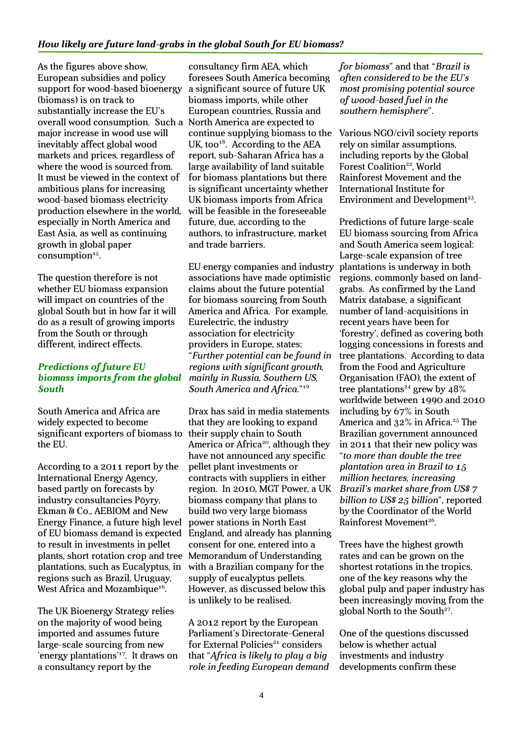As the figures above show, European subsidies and policy support for wood-based bioenergy (biomass) is on track to substantially increase the EU's overall wood consumption. Such a North America are expected to major increase in wood use will inevitably affect global wood markets and prices, regardless of where the wood is sourced from. It must be viewed in the context of ambitious plans for increasing wood-based biomass electricity production elsewhere in the world, especially in North America and East Asia, as well as continuing growth in global paper  $consumption<sup>15</sup>$ .

The question therefore is not whether EU biomass expansion will impact on countries of the global South but in how far it will do as a result of growing imports from the South or through different, indirect effects.

#### *Predictions of future EU biomass imports from the global South*

South America and Africa are widely expected to become significant exporters of biomass to the EU.

According to a 2011 report by the International Energy Agency, based partly on forecasts by industry consultancies Pöyry, Ekman & Co., AEBIOM and New Energy Finance, a future high level of EU biomass demand is expected to result in investments in pellet plants, short rotation crop and tree Memorandum of Understanding plantations, such as Eucalyptus, in regions such as Brazil, Uruguay, West Africa and Mozambique<sup>16</sup>.

The UK Bioenergy Strategy relies on the majority of wood being imported and assumes future large-scale sourcing from new 'energy plantations'<sup>17</sup>. It draws on a consultancy report by the

consultancy firm AEA, which foresees South America becoming a significant source of future UK biomass imports, while other European countries, Russia and continue supplying biomass to the UK, too $18$ . According to the AEA report, sub-Saharan Africa has a large availability of land suitable for biomass plantations but there is significant uncertainty whether UK biomass imports from Africa will be feasible in the foreseeable future, due, according to the authors, to infrastructure, market and trade barriers.

EU energy companies and industry associations have made optimistic claims about the future potential for biomass sourcing from South America and Africa. For example, Eurelectric, the industry association for electricity providers in Europe, states: "*Further potential can be found in regions with significant growth, mainly in Russia, Southern US, South America and Africa*."<sup>19</sup>

Drax has said in media statements that they are looking to expand their supply chain to South America or Africa<sup>20</sup>, although they have not announced any specific pellet plant investments or contracts with suppliers in either region. In 2010, MGT Power, a UK biomass company that plans to build two very large biomass power stations in North East England, and already has planning consent for one, entered into a with a Brazilian company for the supply of eucalyptus pellets. However, as discussed below this is unlikely to be realised.

A 2012 report by the European Parliament's Directorate-General for External Policies<sup>21</sup> considers that "*Africa is likely to play a big role in feeding European demand*  *for biomass*" and that "*Brazil is often considered to be the EU's most promising potential source of wood-based fuel in the southern hemisphere*".

Various NGO/civil society reports rely on similar assumptions, including reports by the Global Forest Coalition<sup>22</sup>, World Rainforest Movement and the International Institute for Environment and Development<sup>23</sup>.

Predictions of future large-scale EU biomass sourcing from Africa and South America seem logical: Large-scale expansion of tree plantations is underway in both regions, commonly based on landgrabs. As confirmed by the Land Matrix database, a significant number of land-acquisitions in recent years have been for 'forestry', defined as covering both logging concessions in forests and tree plantations. According to data from the Food and Agriculture Organisation (FAO), the extent of tree plantations<sup>24</sup> grew by  $48\%$ worldwide between 1990 and 2010 including by 67% in South America and 32% in Africa.<sup>25</sup> The Brazilian government announced in 2011 that their new policy was "*to more than double the tree plantation area in Brazil to 15 million hectares, increasing Brazil's market share from US\$ 7 billion to US\$ 25 billion*", reported by the Coordinator of the World Rainforest Movement<sup>26</sup>.

Trees have the highest growth rates and can be grown on the shortest rotations in the tropics, one of the key reasons why the global pulp and paper industry has been increasingly moving from the global North to the South<sup>27</sup>.

One of the questions discussed below is whether actual investments and industry developments confirm these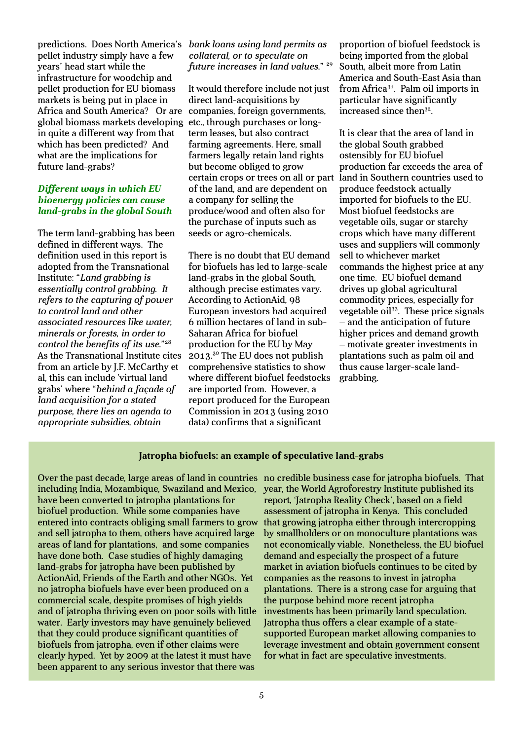predictions. Does North America's pellet industry simply have a few years' head start while the infrastructure for woodchip and pellet production for EU biomass markets is being put in place in Africa and South America? Or are global biomass markets developing in quite a different way from that which has been predicted? And what are the implications for future land-grabs?

#### *Different ways in which EU bioenergy policies can cause land-grabs in the global South*

The term land-grabbing has been defined in different ways. The definition used in this report is adopted from the Transnational Institute: "*Land grabbing is essentially control grabbing. It refers to the capturing of power to control land and other associated resources like water, minerals or forests, in order to control the benefits of its use*."<sup>28</sup> As the Transnational Institute cites from an article by J.F. McCarthy et al, this can include 'virtual land grabs' where "*behind a façade of land acquisition for a stated purpose, there lies an agenda to appropriate subsidies, obtain* 

#### *bank loans using land permits as collateral, or to speculate on future increases in land values*." <sup>29</sup>

It would therefore include not just direct land-acquisitions by companies, foreign governments, etc., through purchases or longterm leases, but also contract farming agreements. Here, small farmers legally retain land rights but become obliged to grow certain crops or trees on all or part of the land, and are dependent on a company for selling the produce/wood and often also for the purchase of inputs such as seeds or agro-chemicals.

There is no doubt that EU demand for biofuels has led to large-scale land-grabs in the global South, although precise estimates vary. According to ActionAid, 98 European investors had acquired 6 million hectares of land in sub-Saharan Africa for biofuel production for the EU by May 2013.<sup>30</sup> The EU does not publish comprehensive statistics to show where different biofuel feedstocks are imported from. However, a report produced for the European Commission in 2013 (using 2010 data) confirms that a significant

proportion of biofuel feedstock is being imported from the global South, albeit more from Latin America and South-East Asia than from Africa<sup>31</sup>. Palm oil imports in particular have significantly increased since then<sup>32</sup>.

It is clear that the area of land in the global South grabbed ostensibly for EU biofuel production far exceeds the area of land in Southern countries used to produce feedstock actually imported for biofuels to the EU. Most biofuel feedstocks are vegetable oils, sugar or starchy crops which have many different uses and suppliers will commonly sell to whichever market commands the highest price at any one time. EU biofuel demand drives up global agricultural commodity prices, especially for vegetable oil<sup>33</sup>. These price signals – and the anticipation of future higher prices and demand growth – motivate greater investments in plantations such as palm oil and thus cause larger-scale landgrabbing.

#### **Jatropha biofuels: an example of speculative land-grabs**

Over the past decade, large areas of land in countries no credible business case for jatropha biofuels. That including India, Mozambique, Swaziland and Mexico, have been converted to jatropha plantations for biofuel production. While some companies have entered into contracts obliging small farmers to grow and sell jatropha to them, others have acquired large areas of land for plantations, and some companies have done both. Case studies of highly damaging land-grabs for jatropha have been published by ActionAid, Friends of the Earth and other NGOs. Yet no jatropha biofuels have ever been produced on a commercial scale, despite promises of high yields and of jatropha thriving even on poor soils with little water. Early investors may have genuinely believed that they could produce significant quantities of biofuels from jatropha, even if other claims were clearly hyped. Yet by 2009 at the latest it must have been apparent to any serious investor that there was

year, the World Agroforestry Institute published its report, 'Jatropha Reality Check', based on a field assessment of jatropha in Kenya. This concluded that growing jatropha either through intercropping by smallholders or on monoculture plantations was not economically viable. Nonetheless, the EU biofuel demand and especially the prospect of a future market in aviation biofuels continues to be cited by companies as the reasons to invest in jatropha plantations. There is a strong case for arguing that the purpose behind more recent jatropha investments has been primarily land speculation. Jatropha thus offers a clear example of a statesupported European market allowing companies to leverage investment and obtain government consent for what in fact are speculative investments.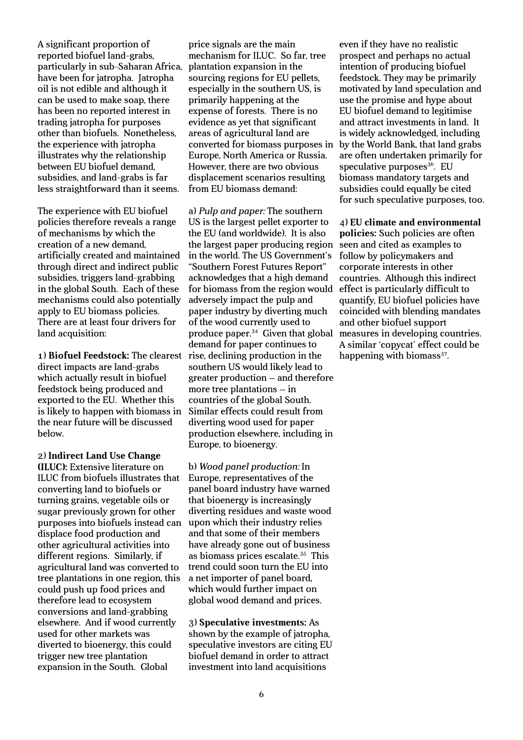A significant proportion of reported biofuel land-grabs, particularly in sub-Saharan Africa, have been for jatropha. Jatropha oil is not edible and although it can be used to make soap, there has been no reported interest in trading jatropha for purposes other than biofuels. Nonetheless, the experience with jatropha illustrates why the relationship between EU biofuel demand, subsidies, and land-grabs is far less straightforward than it seems.

The experience with EU biofuel policies therefore reveals a range of mechanisms by which the creation of a new demand, artificially created and maintained through direct and indirect public subsidies, triggers land-grabbing in the global South. Each of these mechanisms could also potentially apply to EU biomass policies. There are at least four drivers for land acquisition:

1) **Biofuel Feedstock:** The clearest direct impacts are land-grabs which actually result in biofuel feedstock being produced and exported to the EU. Whether this is likely to happen with biomass in the near future will be discussed below.

2) **Indirect Land Use Change (ILUC):** Extensive literature on ILUC from biofuels illustrates that converting land to biofuels or turning grains, vegetable oils or sugar previously grown for other purposes into biofuels instead can displace food production and other agricultural activities into different regions. Similarly, if agricultural land was converted to tree plantations in one region, this could push up food prices and therefore lead to ecosystem conversions and land-grabbing elsewhere. And if wood currently used for other markets was diverted to bioenergy, this could trigger new tree plantation expansion in the South. Global

price signals are the main mechanism for ILUC. So far, tree plantation expansion in the sourcing regions for EU pellets, especially in the southern US, is primarily happening at the expense of forests. There is no evidence as yet that significant areas of agricultural land are converted for biomass purposes in Europe, North America or Russia. However, there are two obvious displacement scenarios resulting from EU biomass demand:

a) *Pulp and paper:* The southern US is the largest pellet exporter to the EU (and worldwide). It is also the largest paper producing region in the world. The US Government's "Southern Forest Futures Report" acknowledges that a high demand for biomass from the region would adversely impact the pulp and paper industry by diverting much of the wood currently used to produce paper.<sup>34</sup> Given that global demand for paper continues to rise, declining production in the southern US would likely lead to greater production – and therefore more tree plantations – in countries of the global South. Similar effects could result from diverting wood used for paper production elsewhere, including in Europe, to bioenergy.

b) *Wood panel production:* In Europe, representatives of the panel board industry have warned that bioenergy is increasingly diverting residues and waste wood upon which their industry relies and that some of their members have already gone out of business as biomass prices escalate.<sup>35</sup> This trend could soon turn the EU into a net importer of panel board, which would further impact on global wood demand and prices.

3) **Speculative investments:** As shown by the example of jatropha, speculative investors are citing EU biofuel demand in order to attract investment into land acquisitions

even if they have no realistic prospect and perhaps no actual intention of producing biofuel feedstock. They may be primarily motivated by land speculation and use the promise and hype about EU biofuel demand to legitimise and attract investments in land. It is widely acknowledged, including by the World Bank, that land grabs are often undertaken primarily for speculative purposes $36$ . EU biomass mandatory targets and subsidies could equally be cited for such speculative purposes, too.

4) **EU climate and environmental policies:** Such policies are often seen and cited as examples to follow by policymakers and corporate interests in other countries. Although this indirect effect is particularly difficult to quantify, EU biofuel policies have coincided with blending mandates and other biofuel support measures in developing countries. A similar 'copycat' effect could be happening with biomass<sup>37</sup>.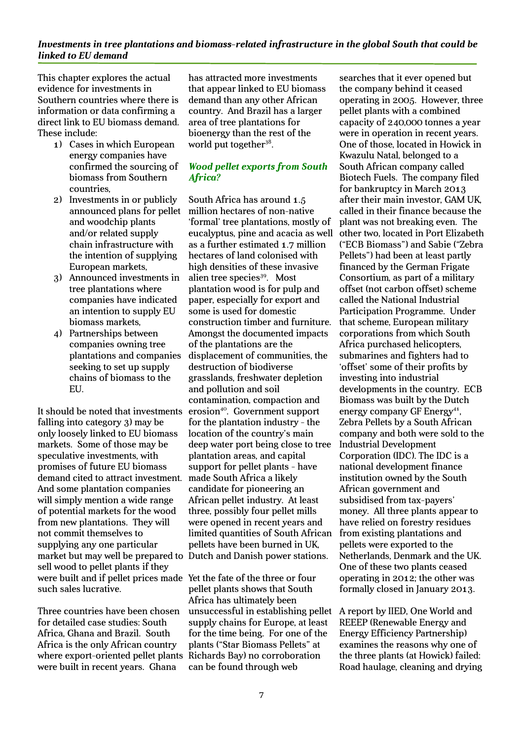#### *Investments in tree plantations and biomass-related infrastructure in the global South that could be linked to EU demand*

This chapter explores the actual evidence for investments in Southern countries where there is information or data confirming a direct link to EU biomass demand. These include:

- 1) Cases in which European energy companies have confirmed the sourcing of biomass from Southern countries,
- 2) Investments in or publicly announced plans for pellet and woodchip plants and/or related supply chain infrastructure with the intention of supplying European markets,
- 3) Announced investments in tree plantations where companies have indicated an intention to supply EU biomass markets,
- 4) Partnerships between companies owning tree plantations and companies seeking to set up supply chains of biomass to the EU.

It should be noted that investments falling into category 3) may be only loosely linked to EU biomass markets. Some of those may be speculative investments, with promises of future EU biomass demand cited to attract investment. And some plantation companies will simply mention a wide range of potential markets for the wood from new plantations. They will not commit themselves to supplying any one particular market but may well be prepared to Dutch and Danish power stations. sell wood to pellet plants if they were built and if pellet prices made Yet the fate of the three or four such sales lucrative.

Three countries have been chosen for detailed case studies: South Africa, Ghana and Brazil. South Africa is the only African country where export-oriented pellet plants were built in recent years. Ghana

has attracted more investments that appear linked to EU biomass demand than any other African country. And Brazil has a larger area of tree plantations for bioenergy than the rest of the world put together<sup>38</sup>.

#### *Wood pellet exports from South Africa?*

South Africa has around 1.5 million hectares of non-native 'formal' tree plantations, mostly of eucalyptus, pine and acacia as well as a further estimated 1.7 million hectares of land colonised with high densities of these invasive alien tree species<sup>39</sup>. Most plantation wood is for pulp and paper, especially for export and some is used for domestic construction timber and furniture. Amongst the documented impacts of the plantations are the displacement of communities, the destruction of biodiverse grasslands, freshwater depletion and pollution and soil contamination, compaction and erosion<sup>40</sup>. Government support for the plantation industry - the location of the country's main deep water port being close to tree plantation areas, and capital support for pellet plants - have made South Africa a likely candidate for pioneering an African pellet industry. At least three, possibly four pellet mills were opened in recent years and limited quantities of South African pellets have been burned in UK,

pellet plants shows that South Africa has ultimately been unsuccessful in establishing pellet supply chains for Europe, at least for the time being. For one of the plants ("Star Biomass Pellets" at Richards Bay) no corroboration can be found through web

searches that it ever opened but the company behind it ceased operating in 2005. However, three pellet plants with a combined capacity of 240,000 tonnes a year were in operation in recent years. One of those, located in Howick in Kwazulu Natal, belonged to a South African company called Biotech Fuels. The company filed for bankruptcy in March 2013 after their main investor, GAM UK, called in their finance because the plant was not breaking even. The other two, located in Port Elizabeth ("ECB Biomass") and Sabie ("Zebra Pellets") had been at least partly financed by the German Frigate Consortium, as part of a military offset (not carbon offset) scheme called the National Industrial Participation Programme. Under that scheme, European military corporations from which South Africa purchased helicopters, submarines and fighters had to 'offset' some of their profits by investing into industrial developments in the country. ECB Biomass was built by the Dutch energy company GF Energy<sup>41</sup>, Zebra Pellets by a South African company and both were sold to the Industrial Development Corporation (IDC). The IDC is a national development finance institution owned by the South African government and subsidised from tax-payers' money. All three plants appear to have relied on forestry residues from existing plantations and pellets were exported to the Netherlands, Denmark and the UK. One of these two plants ceased operating in 2012; the other was formally closed in January 2013.

A report by IIED, One World and REEEP (Renewable Energy and Energy Efficiency Partnership) examines the reasons why one of the three plants (at Howick) failed: Road haulage, cleaning and drying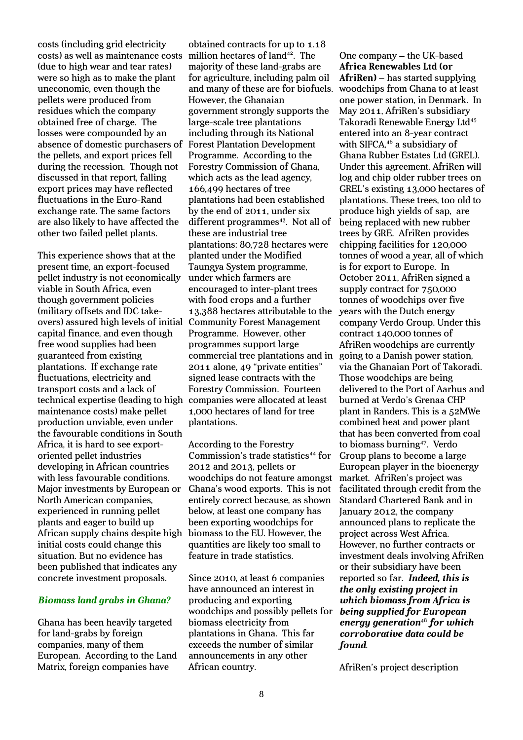costs (including grid electricity costs) as well as maintenance costs (due to high wear and tear rates) were so high as to make the plant uneconomic, even though the pellets were produced from residues which the company obtained free of charge. The losses were compounded by an absence of domestic purchasers of the pellets, and export prices fell during the recession. Though not discussed in that report, falling export prices may have reflected fluctuations in the Euro-Rand exchange rate. The same factors are also likely to have affected the other two failed pellet plants.

This experience shows that at the present time, an export-focused pellet industry is not economically viable in South Africa, even though government policies (military offsets and IDC takeovers) assured high levels of initial Community Forest Management capital finance, and even though free wood supplies had been guaranteed from existing plantations. If exchange rate fluctuations, electricity and transport costs and a lack of technical expertise (leading to high companies were allocated at least maintenance costs) make pellet production unviable, even under the favourable conditions in South Africa, it is hard to see exportoriented pellet industries developing in African countries with less favourable conditions. Major investments by European or North American companies, experienced in running pellet plants and eager to build up African supply chains despite high initial costs could change this situation. But no evidence has been published that indicates any concrete investment proposals.

#### *Biomass land grabs in Ghana?*

Ghana has been heavily targeted for land-grabs by foreign companies, many of them European. According to the Land Matrix, foreign companies have

obtained contracts for up to 1.18 million hectares of land<sup>42</sup>. The majority of these land-grabs are for agriculture, including palm oil and many of these are for biofuels. However, the Ghanaian government strongly supports the large-scale tree plantations including through its National Forest Plantation Development Programme. According to the Forestry Commission of Ghana, which acts as the lead agency, 166,499 hectares of tree plantations had been established by the end of 2011, under six different programmes $43$ . Not all of these are industrial tree plantations: 80,728 hectares were planted under the Modified Taungya System programme, under which farmers are encouraged to inter-plant trees with food crops and a further 13,388 hectares attributable to the Programme. However, other programmes support large commercial tree plantations and in 2011 alone, 49 "private entities" signed lease contracts with the Forestry Commission. Fourteen 1,000 hectares of land for tree plantations.

According to the Forestry Commission's trade statistics<sup>44</sup> for 2012 and 2013, pellets or woodchips do not feature amongst Ghana's wood exports. This is not entirely correct because, as shown below, at least one company has been exporting woodchips for biomass to the EU. However, the quantities are likely too small to feature in trade statistics.

Since 2010, at least 6 companies have announced an interest in producing and exporting woodchips and possibly pellets for biomass electricity from plantations in Ghana. This far exceeds the number of similar announcements in any other African country.

One company – the UK-based **Africa Renewables Ltd (or AfriRen)** – has started supplying woodchips from Ghana to at least one power station, in Denmark. In May 2011, AfriRen's subsidiary Takoradi Renewable Energy Ltd<sup>45</sup> entered into an 8-year contract with SIFCA,<sup>46</sup> a subsidiary of Ghana Rubber Estates Ltd (GREL). Under this agreement, AfriRen will log and chip older rubber trees on GREL's existing 13,000 hectares of plantations. These trees, too old to produce high yields of sap, are being replaced with new rubber trees by GRE. AfriRen provides chipping facilities for 120,000 tonnes of wood a year, all of which is for export to Europe. In October 2011, AfriRen signed a supply contract for 750,000 tonnes of woodchips over five years with the Dutch energy company Verdo Group. Under this contract 140,000 tonnes of AfriRen woodchips are currently going to a Danish power station, via the Ghanaian Port of Takoradi. Those woodchips are being delivered to the Port of Aarhus and burned at Verdo's Grenaa CHP plant in Randers. This is a 52MWe combined heat and power plant that has been converted from coal to biomass burning<sup>47</sup>. Verdo Group plans to become a large European player in the bioenergy market. AfriRen's project was facilitated through credit from the Standard Chartered Bank and in January 2012, the company announced plans to replicate the project across West Africa. However, no further contracts or investment deals involving AfriRen or their subsidiary have been reported so far. *Indeed, this is the only existing project in which biomass from Africa is being supplied for European energy generation*<sup>48</sup> *for which corroborative data could be found*.

AfriRen's project description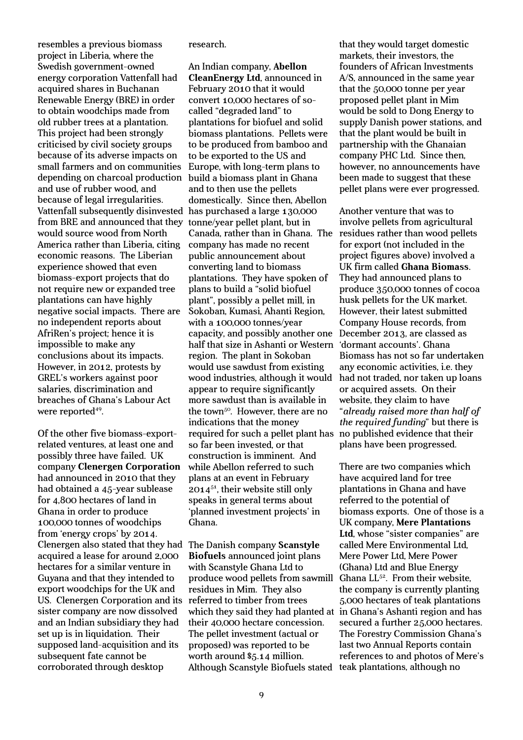resembles a previous biomass project in Liberia, where the Swedish government-owned energy corporation Vattenfall had acquired shares in Buchanan Renewable Energy (BRE) in order to obtain woodchips made from old rubber trees at a plantation. This project had been strongly criticised by civil society groups because of its adverse impacts on small farmers and on communities depending on charcoal production and use of rubber wood, and because of legal irregularities. Vattenfall subsequently disinvested from BRE and announced that they would source wood from North America rather than Liberia, citing economic reasons. The Liberian experience showed that even biomass-export projects that do not require new or expanded tree plantations can have highly negative social impacts. There are no independent reports about AfriRen's project; hence it is impossible to make any conclusions about its impacts. However, in 2012, protests by GREL's workers against poor salaries, discrimination and breaches of Ghana's Labour Act were reported<sup>49</sup>.

Of the other five biomass-exportrelated ventures, at least one and possibly three have failed. UK company **Clenergen Corporation** had announced in 2010 that they had obtained a 45-year sublease for 4,800 hectares of land in Ghana in order to produce 100,000 tonnes of woodchips from 'energy crops' by 2014. Clenergen also stated that they had The Danish company **Scanstyle**  acquired a lease for around 2,000 hectares for a similar venture in Guyana and that they intended to export woodchips for the UK and US. Clenergen Corporation and its sister company are now dissolved and an Indian subsidiary they had set up is in liquidation. Their supposed land-acquisition and its subsequent fate cannot be corroborated through desktop

research.

An Indian company, **Abellon CleanEnergy Ltd**, announced in February 2010 that it would convert 10,000 hectares of socalled "degraded land" to plantations for biofuel and solid biomass plantations. Pellets were to be produced from bamboo and to be exported to the US and Europe, with long-term plans to build a biomass plant in Ghana and to then use the pellets domestically. Since then, Abellon has purchased a large 130,000 tonne/year pellet plant, but in Canada, rather than in Ghana. The company has made no recent public announcement about converting land to biomass plantations. They have spoken of plans to build a "solid biofuel plant", possibly a pellet mill, in Sokoban, Kumasi, Ahanti Region, with a 100,000 tonnes/year capacity, and possibly another one half that size in Ashanti or Western region. The plant in Sokoban would use sawdust from existing wood industries, although it would appear to require significantly more sawdust than is available in the town<sup>50</sup>. However, there are no indications that the money required for such a pellet plant has so far been invested, or that construction is imminent. And while Abellon referred to such plans at an event in February  $2014^{51}$ , their website still only speaks in general terms about 'planned investment projects' in Ghana.

**Biofuels** announced joint plans with Scanstyle Ghana Ltd to produce wood pellets from sawmill residues in Mim. They also referred to timber from trees their 40,000 hectare concession. The pellet investment (actual or proposed) was reported to be worth around \$5.14 million. Although Scanstyle Biofuels stated teak plantations, although no

that they would target domestic markets, their investors, the founders of African Investments A/S, announced in the same year that the 50,000 tonne per year proposed pellet plant in Mim would be sold to Dong Energy to supply Danish power stations, and that the plant would be built in partnership with the Ghanaian company PHC Ltd. Since then, however, no announcements have been made to suggest that these pellet plans were ever progressed.

Another venture that was to involve pellets from agricultural residues rather than wood pellets for export (not included in the project figures above) involved a UK firm called **Ghana Biomass**. They had announced plans to produce 350,000 tonnes of cocoa husk pellets for the UK market. However, their latest submitted Company House records, from December 2013, are classed as 'dormant accounts'. Ghana Biomass has not so far undertaken any economic activities, i.e. they had not traded, nor taken up loans or acquired assets. On their website, they claim to have "*already raised more than half of the required funding*" but there is no published evidence that their plans have been progressed.

which they said they had planted at in Ghana's Ashanti region and has There are two companies which have acquired land for tree plantations in Ghana and have referred to the potential of biomass exports. One of those is a UK company, **Mere Plantations Ltd**, whose "sister companies" are called Mere Environmental Ltd, Mere Power Ltd, Mere Power (Ghana) Ltd and Blue Energy Ghana  $LL^{52}$ . From their website, the company is currently planting 5,000 hectares of teak plantations secured a further 25,000 hectares. The Forestry Commission Ghana's last two Annual Reports contain references to and photos of Mere's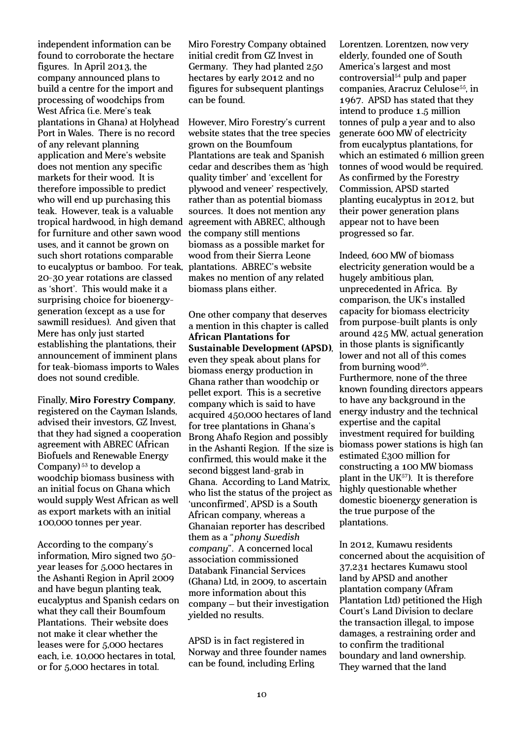independent information can be found to corroborate the hectare figures. In April 2013, the company announced plans to build a centre for the import and processing of woodchips from West Africa (i.e. Mere's teak plantations in Ghana) at Holyhead Port in Wales. There is no record of any relevant planning application and Mere's website does not mention any specific markets for their wood. It is therefore impossible to predict who will end up purchasing this teak. However, teak is a valuable tropical hardwood, in high demand for furniture and other sawn wood uses, and it cannot be grown on such short rotations comparable to eucalyptus or bamboo. For teak, 20-30 year rotations are classed as 'short'. This would make it a surprising choice for bioenergygeneration (except as a use for sawmill residues). And given that Mere has only just started establishing the plantations, their announcement of imminent plans for teak-biomass imports to Wales does not sound credible.

Finally, **Miro Forestry Company**, registered on the Cayman Islands, advised their investors, GZ Invest, that they had signed a cooperation agreement with ABREC (African Biofuels and Renewable Energy Company) <sup>53</sup> to develop a woodchip biomass business with an initial focus on Ghana which would supply West African as well as export markets with an initial 100,000 tonnes per year.

According to the company's information, Miro signed two 50 year leases for 5,000 hectares in the Ashanti Region in April 2009 and have begun planting teak, eucalyptus and Spanish cedars on what they call their Boumfoum Plantations. Their website does not make it clear whether the leases were for 5,000 hectares each, i.e. 10,000 hectares in total, or for 5,000 hectares in total.

Miro Forestry Company obtained initial credit from GZ Invest in Germany. They had planted 250 hectares by early 2012 and no figures for subsequent plantings can be found.

However, Miro Forestry's current website states that the tree species grown on the Boumfoum Plantations are teak and Spanish cedar and describes them as 'high quality timber' and 'excellent for plywood and veneer' respectively, rather than as potential biomass sources. It does not mention any agreement with ABREC, although the company still mentions biomass as a possible market for wood from their Sierra Leone plantations. ABREC's website makes no mention of any related biomass plans either.

One other company that deserves a mention in this chapter is called **African Plantations for Sustainable Development (APSD)**, even they speak about plans for biomass energy production in Ghana rather than woodchip or pellet export. This is a secretive company which is said to have acquired 450,000 hectares of land for tree plantations in Ghana's Brong Ahafo Region and possibly in the Ashanti Region. If the size is confirmed, this would make it the second biggest land-grab in Ghana. According to Land Matrix, who list the status of the project as 'unconfirmed', APSD is a South African company, whereas a Ghanaian reporter has described them as a "*phony Swedish company*". A concerned local association commissioned Databank Financial Services (Ghana) Ltd, in 2009, to ascertain more information about this company – but their investigation yielded no results.

APSD is in fact registered in Norway and three founder names can be found, including Erling

Lorentzen. Lorentzen, now very elderly, founded one of South America's largest and most  $controversial<sup>54</sup>$  pulp and paper companies, Aracruz Celulose<sup>55</sup>, in 1967. APSD has stated that they intend to produce 1.5 million tonnes of pulp a year and to also generate 600 MW of electricity from eucalyptus plantations, for which an estimated 6 million green tonnes of wood would be required. As confirmed by the Forestry Commission, APSD started planting eucalyptus in 2012, but their power generation plans appear not to have been progressed so far.

Indeed, 600 MW of biomass electricity generation would be a hugely ambitious plan, unprecedented in Africa. By comparison, the UK's installed capacity for biomass electricity from purpose-built plants is only around 425 MW, actual generation in those plants is significantly lower and not all of this comes from burning wood<sup>56</sup>. Furthermore, none of the three known founding directors appears to have any background in the energy industry and the technical expertise and the capital investment required for building biomass power stations is high (an estimated £300 million for constructing a 100 MW biomass plant in the  $UK<sup>57</sup>$ . It is therefore highly questionable whether domestic bioenergy generation is the true purpose of the plantations.

In 2012, Kumawu residents concerned about the acquisition of 37,231 hectares Kumawu stool land by APSD and another plantation company (Afram Plantation Ltd) petitioned the High Court's Land Division to declare the transaction illegal, to impose damages, a restraining order and to confirm the traditional boundary and land ownership. They warned that the land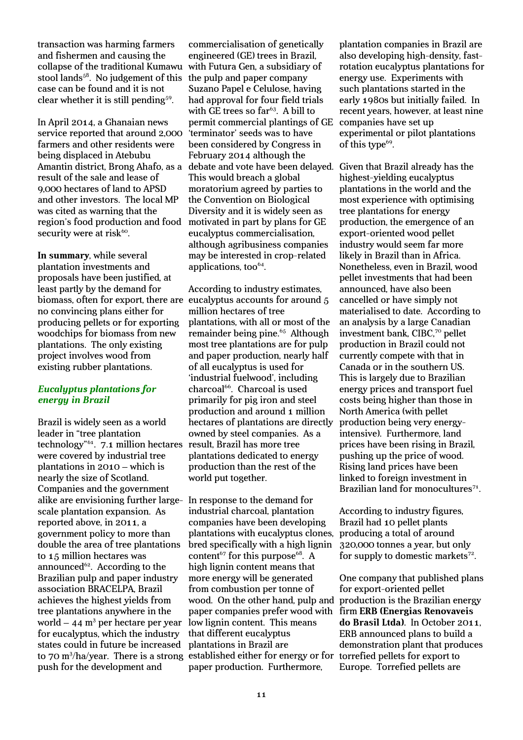transaction was harming farmers and fishermen and causing the collapse of the traditional Kumawu with Futura Gen, a subsidiary of stool lands $58$ . No judgement of this case can be found and it is not clear whether it is still pending<sup>59</sup>.

In April 2014, a Ghanaian news service reported that around 2,000 farmers and other residents were being displaced in Atebubu Amantin district, Brong Ahafo, as a result of the sale and lease of 9,000 hectares of land to APSD and other investors. The local MP was cited as warning that the region's food production and food security were at risk<sup>60</sup>.

**In summary**, while several plantation investments and proposals have been justified, at least partly by the demand for biomass, often for export, there are eucalyptus accounts for around 5 no convincing plans either for producing pellets or for exporting woodchips for biomass from new plantations. The only existing project involves wood from existing rubber plantations.

#### *Eucalyptus plantations for energy in Brazil*

Brazil is widely seen as a world leader in "tree plantation technology"<sup>61</sup>. 7.1 million hectares were covered by industrial tree plantations in 2010 – which is nearly the size of Scotland. Companies and the government alike are envisioning further largescale plantation expansion. As reported above, in 2011, a government policy to more than double the area of tree plantations to 15 million hectares was announced $62$ . According to the Brazilian pulp and paper industry association BRACELPA, Brazil achieves the highest yields from tree plantations anywhere in the world – 44  $\mathrm{m}^{3}$  per hectare per year for eucalyptus, which the industry states could in future be increased to 70 m<sup>3</sup>/ha/year. There is a strong established either for energy or for push for the development and

commercialisation of genetically engineered (GE) trees in Brazil, the pulp and paper company Suzano Papel e Celulose, having had approval for four field trials with GE trees so  $far<sup>63</sup>$ . A bill to permit commercial plantings of GE 'terminator' seeds was to have been considered by Congress in February 2014 although the debate and vote have been delayed. Given that Brazil already has the This would breach a global moratorium agreed by parties to the Convention on Biological Diversity and it is widely seen as motivated in part by plans for GE eucalyptus commercialisation, although agribusiness companies may be interested in crop-related applications, too<sup>64</sup>.

According to industry estimates, million hectares of tree plantations, with all or most of the remainder being pine.<sup>65</sup> Although most tree plantations are for pulp and paper production, nearly half of all eucalyptus is used for 'industrial fuelwood', including charcoal<sup>66</sup>. Charcoal is used primarily for pig iron and steel production and around 1 million hectares of plantations are directly owned by steel companies. As a result, Brazil has more tree plantations dedicated to energy production than the rest of the world put together.

In response to the demand for industrial charcoal, plantation companies have been developing plantations with eucalyptus clones, bred specifically with a high lignin content<sup>67</sup> for this purpose<sup>68</sup>. A high lignin content means that more energy will be generated from combustion per tonne of wood. On the other hand, pulp and paper companies prefer wood with low lignin content. This means that different eucalyptus plantations in Brazil are paper production. Furthermore,

plantation companies in Brazil are also developing high-density, fastrotation eucalyptus plantations for energy use. Experiments with such plantations started in the early 1980s but initially failed. In recent years, however, at least nine companies have set up experimental or pilot plantations of this type<sup>69</sup>.

highest-yielding eucalyptus plantations in the world and the most experience with optimising tree plantations for energy production, the emergence of an export-oriented wood pellet industry would seem far more likely in Brazil than in Africa. Nonetheless, even in Brazil, wood pellet investments that had been announced, have also been cancelled or have simply not materialised to date. According to an analysis by a large Canadian investment bank, CIBC,<sup>70</sup> pellet production in Brazil could not currently compete with that in Canada or in the southern US. This is largely due to Brazilian energy prices and transport fuel costs being higher than those in North America (with pellet production being very energyintensive). Furthermore, land prices have been rising in Brazil, pushing up the price of wood. Rising land prices have been linked to foreign investment in Brazilian land for monocultures<sup>71</sup>.

According to industry figures, Brazil had 10 pellet plants producing a total of around 320,000 tonnes a year, but only for supply to domestic markets $72$ .

One company that published plans for export-oriented pellet production is the Brazilian energy firm **ERB (Energias Renovaveis do Brasil Ltda)**. In October 2011, ERB announced plans to build a demonstration plant that produces torrefied pellets for export to Europe. Torrefied pellets are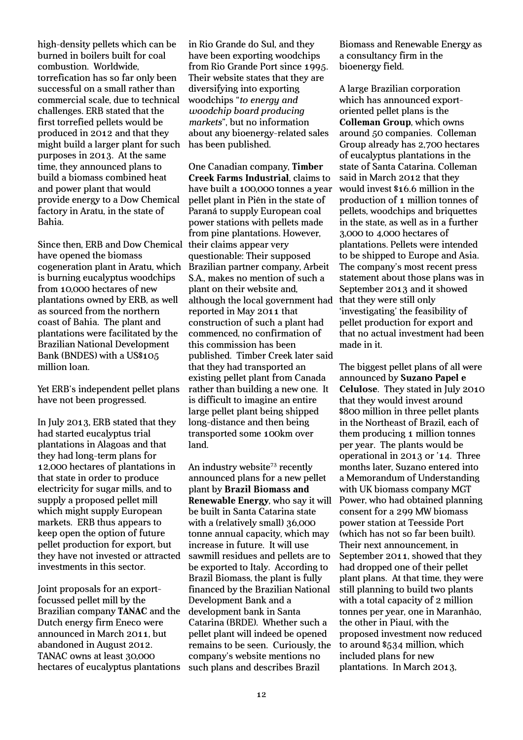high-density pellets which can be burned in boilers built for coal combustion. Worldwide, torrefication has so far only been successful on a small rather than commercial scale, due to technical challenges. ERB stated that the first torrefied pellets would be produced in 2012 and that they might build a larger plant for such purposes in 2013. At the same time, they announced plans to build a biomass combined heat and power plant that would provide energy to a Dow Chemical factory in Aratu, in the state of Bahia.

Since then, ERB and Dow Chemical have opened the biomass cogeneration plant in Aratu, which is burning eucalyptus woodchips from 10,000 hectares of new plantations owned by ERB, as well as sourced from the northern coast of Bahia. The plant and plantations were facilitated by the Brazilian National Development Bank (BNDES) with a US\$105 million loan.

Yet ERB's independent pellet plans have not been progressed.

In July 2013, ERB stated that they had started eucalyptus trial plantations in Alagoas and that they had long-term plans for 12,000 hectares of plantations in that state in order to produce electricity for sugar mills, and to supply a proposed pellet mill which might supply European markets. ERB thus appears to keep open the option of future pellet production for export, but they have not invested or attracted investments in this sector.

Joint proposals for an exportfocussed pellet mill by the Brazilian company **TANAC** and the Dutch energy firm Eneco were announced in March 2011, but abandoned in August 2012. TANAC owns at least 30,000 hectares of eucalyptus plantations

in Rio Grande do Sul, and they have been exporting woodchips from Rio Grande Port since 1995. Their website states that they are diversifying into exporting woodchips "*to energy and woodchip board producing markets*", but no information about any bioenergy-related sales has been published.

One Canadian company, **Timber Creek Farms Industrial**, claims to have built a 100,000 tonnes a year pellet plant in Piên in the state of Paraná to supply European coal power stations with pellets made from pine plantations. However, their claims appear very questionable: Their supposed Brazilian partner company, Arbeit S.A., makes no mention of such a plant on their website and, although the local government had reported in May 2011 that construction of such a plant had commenced, no confirmation of this commission has been published. Timber Creek later said that they had transported an existing pellet plant from Canada rather than building a new one. It is difficult to imagine an entire large pellet plant being shipped long-distance and then being transported some 100km over land.

An industry website<sup>73</sup> recently announced plans for a new pellet plant by **Brazil Biomass and Renewable Energy**, who say it will be built in Santa Catarina state with a (relatively small) 36,000 tonne annual capacity, which may increase in future. It will use sawmill residues and pellets are to be exported to Italy. According to Brazil Biomass, the plant is fully financed by the Brazilian National Development Bank and a development bank in Santa Catarina (BRDE). Whether such a pellet plant will indeed be opened remains to be seen. Curiously, the company's website mentions no such plans and describes Brazil

Biomass and Renewable Energy as a consultancy firm in the bioenergy field.

A large Brazilian corporation which has announced exportoriented pellet plans is the **Colleman Group**, which owns around 50 companies. Colleman Group already has 2,700 hectares of eucalyptus plantations in the state of Santa Catarina. Colleman said in March 2012 that they would invest \$16.6 million in the production of 1 million tonnes of pellets, woodchips and briquettes in the state, as well as in a further 3,000 to 4,000 hectares of plantations. Pellets were intended to be shipped to Europe and Asia. The company's most recent press statement about those plans was in September 2013 and it showed that they were still only 'investigating' the feasibility of pellet production for export and that no actual investment had been made in it.

The biggest pellet plans of all were announced by **Suzano Papel e Celulose**. They stated in July 2010 that they would invest around \$800 million in three pellet plants in the Northeast of Brazil, each of them producing 1 million tonnes per year. The plants would be operational in 2013 or '14. Three months later, Suzano entered into a Memorandum of Understanding with UK biomass company MGT Power, who had obtained planning consent for a 299 MW biomass power station at Teesside Port (which has not so far been built). Their next announcement, in September 2011, showed that they had dropped one of their pellet plant plans. At that time, they were still planning to build two plants with a total capacity of 2 million tonnes per year, one in Maranhão, the other in Piauí, with the proposed investment now reduced to around \$534 million, which included plans for new plantations. In March 2013,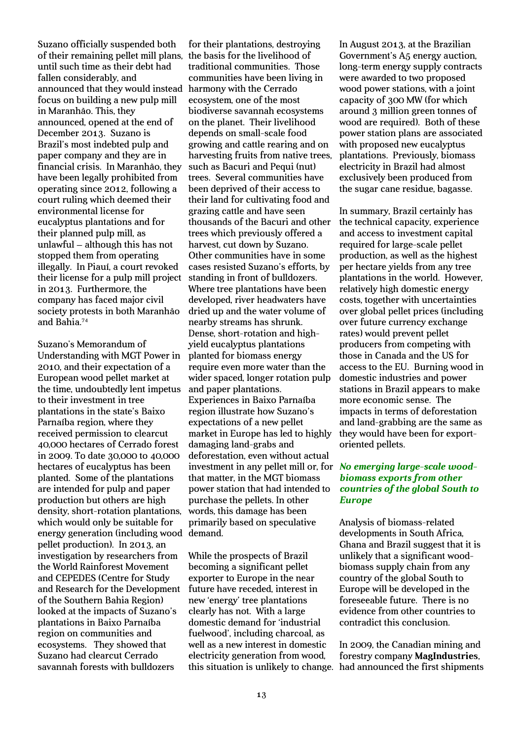Suzano officially suspended both of their remaining pellet mill plans, the basis for the livelihood of until such time as their debt had fallen considerably, and announced that they would instead focus on building a new pulp mill in Maranhão. This, they announced, opened at the end of December 2013. Suzano is Brazil's most indebted pulp and paper company and they are in financial crisis. In Maranhão, they have been legally prohibited from operating since 2012, following a court ruling which deemed their environmental license for eucalyptus plantations and for their planned pulp mill, as unlawful – although this has not stopped them from operating illegally. In Piauí, a court revoked their license for a pulp mill project in 2013. Furthermore, the company has faced major civil society protests in both Maranhão and Bahia.<sup>74</sup>

Suzano's Memorandum of Understanding with MGT Power in 2010, and their expectation of a European wood pellet market at the time, undoubtedly lent impetus to their investment in tree plantations in the state's Baixo Parnaíba region, where they received permission to clearcut 40,000 hectares of Cerrado forest in 2009. To date 30,000 to 40,000 hectares of eucalyptus has been planted. Some of the plantations are intended for pulp and paper production but others are high density, short-rotation plantations, which would only be suitable for energy generation (including wood demand. pellet production). In 2013, an investigation by researchers from the World Rainforest Movement and CEPEDES (Centre for Study and Research for the Development of the Southern Bahia Region) looked at the impacts of Suzano's plantations in Baixo Parnaíba region on communities and ecosystems. They showed that Suzano had clearcut Cerrado savannah forests with bulldozers

for their plantations, destroying traditional communities. Those communities have been living in harmony with the Cerrado ecosystem, one of the most biodiverse savannah ecosystems on the planet. Their livelihood depends on small-scale food growing and cattle rearing and on harvesting fruits from native trees, such as Bacuri and Pequi (nut) trees. Several communities have been deprived of their access to their land for cultivating food and grazing cattle and have seen thousands of the Bacuri and other trees which previously offered a harvest, cut down by Suzano. Other communities have in some cases resisted Suzano's efforts, by standing in front of bulldozers. Where tree plantations have been developed, river headwaters have dried up and the water volume of nearby streams has shrunk. Dense, short-rotation and highyield eucalyptus plantations planted for biomass energy require even more water than the wider spaced, longer rotation pulp and paper plantations. Experiences in Baixo Parnaíba region illustrate how Suzano's expectations of a new pellet market in Europe has led to highly damaging land-grabs and deforestation, even without actual investment in any pellet mill or, for *No emerging large-scale wood*that matter, in the MGT biomass power station that had intended to purchase the pellets. In other words, this damage has been primarily based on speculative

While the prospects of Brazil becoming a significant pellet exporter to Europe in the near future have receded, interest in new 'energy' tree plantations clearly has not. With a large domestic demand for 'industrial fuelwood', including charcoal, as well as a new interest in domestic electricity generation from wood, this situation is unlikely to change. had announced the first shipments

In August 2013, at the Brazilian Government's A5 energy auction, long-term energy supply contracts were awarded to two proposed wood power stations, with a joint capacity of 300 MW (for which around 3 million green tonnes of wood are required). Both of these power station plans are associated with proposed new eucalyptus plantations. Previously, biomass electricity in Brazil had almost exclusively been produced from the sugar cane residue, bagasse.

In summary, Brazil certainly has the technical capacity, experience and access to investment capital required for large-scale pellet production, as well as the highest per hectare yields from any tree plantations in the world. However, relatively high domestic energy costs, together with uncertainties over global pellet prices (including over future currency exchange rates) would prevent pellet producers from competing with those in Canada and the US for access to the EU. Burning wood in domestic industries and power stations in Brazil appears to make more economic sense. The impacts in terms of deforestation and land-grabbing are the same as they would have been for exportoriented pellets.

# *biomass exports from other countries of the global South to Europe*

Analysis of biomass-related developments in South Africa, Ghana and Brazil suggest that it is unlikely that a significant woodbiomass supply chain from any country of the global South to Europe will be developed in the foreseeable future. There is no evidence from other countries to contradict this conclusion.

In 2009, the Canadian mining and forestry company **MagIndustries**,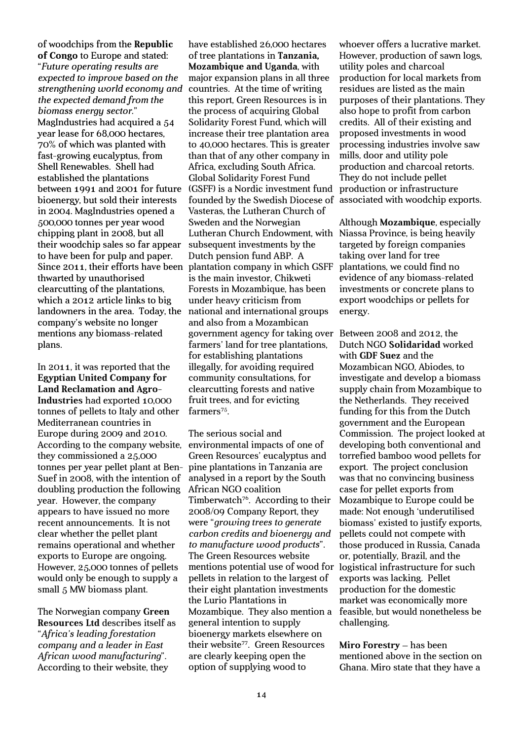of woodchips from the **Republic of Congo** to Europe and stated:

"*Future operating results are expected to improve based on the strengthening world economy and the expected demand from the biomass energy sector.*" MagIndustries had acquired a 54 year lease for 68,000 hectares, 70% of which was planted with fast-growing eucalyptus, from Shell Renewables. Shell had established the plantations between 1991 and 2001 for future bioenergy, but sold their interests in 2004. MagIndustries opened a 500,000 tonnes per year wood chipping plant in 2008, but all their woodchip sales so far appear to have been for pulp and paper. Since 2011, their efforts have been thwarted by unauthorised clearcutting of the plantations, which a 2012 article links to big landowners in the area. Today, the company's website no longer mentions any biomass-related plans.

In 2011, it was reported that the **Egyptian United Company for Land Reclamation and Agro-Industries** had exported 10,000 tonnes of pellets to Italy and other Mediterranean countries in Europe during 2009 and 2010. According to the company website, they commissioned a 25,000 tonnes per year pellet plant at Ben-Suef in 2008, with the intention of doubling production the following year. However, the company appears to have issued no more recent announcements. It is not clear whether the pellet plant remains operational and whether exports to Europe are ongoing. However, 25,000 tonnes of pellets would only be enough to supply a small 5 MW biomass plant.

The Norwegian company **Green Resources Ltd** describes itself as "*Africa's leading forestation company and a leader in East African wood manufacturing*". According to their website, they

have established 26,000 hectares of tree plantations in **Tanzania, Mozambique and Uganda**, with major expansion plans in all three countries. At the time of writing this report, Green Resources is in the process of acquiring Global Solidarity Forest Fund, which will increase their tree plantation area to 40,000 hectares. This is greater than that of any other company in Africa, excluding South Africa. Global Solidarity Forest Fund (GSFF) is a Nordic investment fund founded by the Swedish Diocese of Vasteras, the Lutheran Church of Sweden and the Norwegian Lutheran Church Endowment, with subsequent investments by the Dutch pension fund ABP. A plantation company in which GSFF is the main investor, Chikweti Forests in Mozambique, has been under heavy criticism from national and international groups and also from a Mozambican government agency for taking over Between 2008 and 2012, the farmers' land for tree plantations, for establishing plantations illegally, for avoiding required community consultations, for clearcutting forests and native fruit trees, and for evicting  $farmers<sup>75</sup>$ .

The serious social and environmental impacts of one of Green Resources' eucalyptus and pine plantations in Tanzania are analysed in a report by the South African NGO coalition Timberwatch<sup>76</sup>. According to their 2008/09 Company Report, they were "*growing trees to generate carbon credits and bioenergy and to manufacture wood products*". The Green Resources website mentions potential use of wood for pellets in relation to the largest of their eight plantation investments the Lurio Plantations in Mozambique. They also mention a general intention to supply bioenergy markets elsewhere on their website<sup>77</sup>. Green Resources are clearly keeping open the option of supplying wood to

whoever offers a lucrative market. However, production of sawn logs, utility poles and charcoal production for local markets from residues are listed as the main purposes of their plantations. They also hope to profit from carbon credits. All of their existing and proposed investments in wood processing industries involve saw mills, door and utility pole production and charcoal retorts. They do not include pellet production or infrastructure associated with woodchip exports.

Although **Mozambique**, especially Niassa Province, is being heavily targeted by foreign companies taking over land for tree plantations, we could find no evidence of any biomass-related investments or concrete plans to export woodchips or pellets for energy.

Dutch NGO **Solidaridad** worked with **GDF Suez** and the Mozambican NGO, Abiodes, to investigate and develop a biomass supply chain from Mozambique to the Netherlands. They received funding for this from the Dutch government and the European Commission. The project looked at developing both conventional and torrefied bamboo wood pellets for export. The project conclusion was that no convincing business case for pellet exports from Mozambique to Europe could be made: Not enough 'underutilised biomass' existed to justify exports, pellets could not compete with those produced in Russia, Canada or, potentially, Brazil, and the logistical infrastructure for such exports was lacking. Pellet production for the domestic market was economically more feasible, but would nonetheless be challenging.

**Miro Forestry** – has been mentioned above in the section on Ghana. Miro state that they have a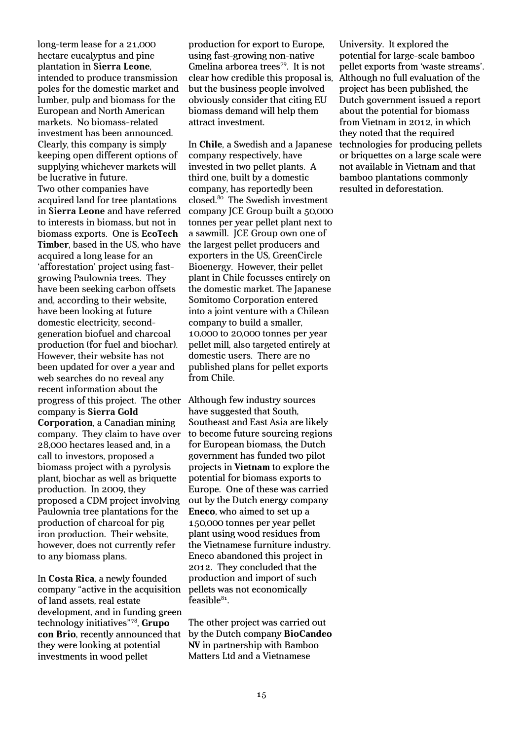long-term lease for a 21,000 hectare eucalyptus and pine plantation in **Sierra Leone**, intended to produce transmission poles for the domestic market and lumber, pulp and biomass for the European and North American markets. No biomass-related investment has been announced. Clearly, this company is simply keeping open different options of supplying whichever markets will be lucrative in future. Two other companies have acquired land for tree plantations in **Sierra Leone** and have referred to interests in biomass, but not in biomass exports. One is **EcoTech Timber**, based in the US, who have acquired a long lease for an 'afforestation' project using fastgrowing Paulownia trees. They have been seeking carbon offsets and, according to their website, have been looking at future domestic electricity, secondgeneration biofuel and charcoal production (for fuel and biochar). However, their website has not been updated for over a year and web searches do no reveal any recent information about the progress of this project. The other company is **Sierra Gold Corporation**, a Canadian mining company. They claim to have over 28,000 hectares leased and, in a call to investors, proposed a biomass project with a pyrolysis plant, biochar as well as briquette production. In 2009, they proposed a CDM project involving Paulownia tree plantations for the production of charcoal for pig iron production. Their website, however, does not currently refer to any biomass plans.

In **Costa Rica**, a newly founded company "active in the acquisition of land assets, real estate development, and in funding green technology initiatives"<sup>78</sup> , **Grupo con Brio**, recently announced that they were looking at potential investments in wood pellet

production for export to Europe, using fast-growing non-native Gmelina arborea trees<sup>79</sup>. It is not clear how credible this proposal is, but the business people involved obviously consider that citing EU biomass demand will help them attract investment.

In **Chile**, a Swedish and a Japanese company respectively, have invested in two pellet plants. A third one, built by a domestic company, has reportedly been closed.<sup>80</sup> The Swedish investment company JCE Group built a 50,000 tonnes per year pellet plant next to a sawmill. JCE Group own one of the largest pellet producers and exporters in the US, GreenCircle Bioenergy. However, their pellet plant in Chile focusses entirely on the domestic market. The Japanese Somitomo Corporation entered into a joint venture with a Chilean company to build a smaller, 10,000 to 20,000 tonnes per year pellet mill, also targeted entirely at domestic users. There are no published plans for pellet exports from Chile.

Although few industry sources have suggested that South, Southeast and East Asia are likely to become future sourcing regions for European biomass, the Dutch government has funded two pilot projects in **Vietnam** to explore the potential for biomass exports to Europe. One of these was carried out by the Dutch energy company **Eneco**, who aimed to set up a 150,000 tonnes per year pellet plant using wood residues from the Vietnamese furniture industry. Eneco abandoned this project in 2012. They concluded that the production and import of such pellets was not economically  $\operatorname{feasible}^{84}$ .

The other project was carried out by the Dutch company **BioCandeo NV** in partnership with Bamboo Matters Ltd and a Vietnamese

University. It explored the potential for large-scale bamboo pellet exports from 'waste streams'. Although no full evaluation of the project has been published, the Dutch government issued a report about the potential for biomass from Vietnam in 2012, in which they noted that the required technologies for producing pellets or briquettes on a large scale were not available in Vietnam and that bamboo plantations commonly resulted in deforestation.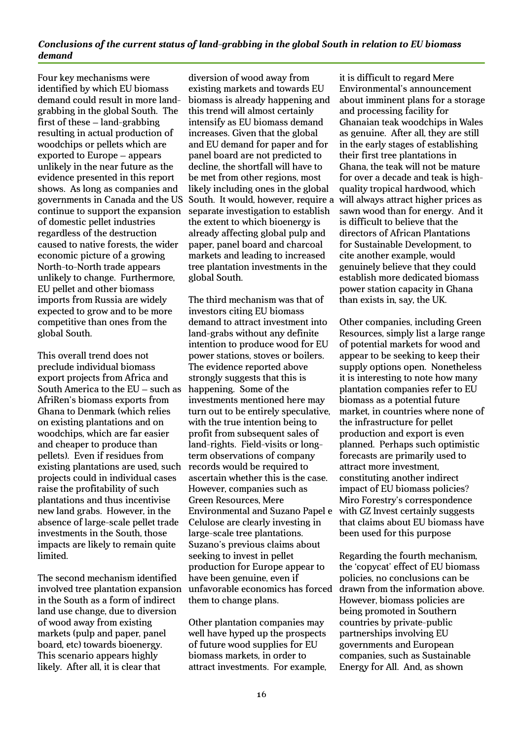#### *Conclusions of the current status of land-grabbing in the global South in relation to EU biomass demand*

Four key mechanisms were identified by which EU biomass demand could result in more landgrabbing in the global South. The first of these – land-grabbing resulting in actual production of woodchips or pellets which are exported to Europe – appears unlikely in the near future as the evidence presented in this report shows. As long as companies and governments in Canada and the US continue to support the expansion of domestic pellet industries regardless of the destruction caused to native forests, the wider economic picture of a growing North-to-North trade appears unlikely to change. Furthermore, EU pellet and other biomass imports from Russia are widely expected to grow and to be more competitive than ones from the global South.

This overall trend does not preclude individual biomass export projects from Africa and South America to the EU – such as AfriRen's biomass exports from Ghana to Denmark (which relies on existing plantations and on woodchips, which are far easier and cheaper to produce than pellets). Even if residues from existing plantations are used, such projects could in individual cases raise the profitability of such plantations and thus incentivise new land grabs. However, in the absence of large-scale pellet trade investments in the South, those impacts are likely to remain quite limited.

The second mechanism identified involved tree plantation expansion in the South as a form of indirect land use change, due to diversion of wood away from existing markets (pulp and paper, panel board, etc) towards bioenergy. This scenario appears highly likely. After all, it is clear that

diversion of wood away from existing markets and towards EU biomass is already happening and this trend will almost certainly intensify as EU biomass demand increases. Given that the global and EU demand for paper and for panel board are not predicted to decline, the shortfall will have to be met from other regions, most likely including ones in the global South. It would, however, require a separate investigation to establish the extent to which bioenergy is already affecting global pulp and paper, panel board and charcoal markets and leading to increased tree plantation investments in the global South.

The third mechanism was that of investors citing EU biomass demand to attract investment into land-grabs without any definite intention to produce wood for EU power stations, stoves or boilers. The evidence reported above strongly suggests that this is happening. Some of the investments mentioned here may turn out to be entirely speculative, with the true intention being to profit from subsequent sales of land-rights. Field-visits or longterm observations of company records would be required to ascertain whether this is the case. However, companies such as Green Resources, Mere Environmental and Suzano Papel e Celulose are clearly investing in large-scale tree plantations. Suzano's previous claims about seeking to invest in pellet production for Europe appear to have been genuine, even if unfavorable economics has forced them to change plans.

Other plantation companies may well have hyped up the prospects of future wood supplies for EU biomass markets, in order to attract investments. For example,

it is difficult to regard Mere Environmental's announcement about imminent plans for a storage and processing facility for Ghanaian teak woodchips in Wales as genuine. After all, they are still in the early stages of establishing their first tree plantations in Ghana, the teak will not be mature for over a decade and teak is highquality tropical hardwood, which will always attract higher prices as sawn wood than for energy. And it is difficult to believe that the directors of African Plantations for Sustainable Development, to cite another example, would genuinely believe that they could establish more dedicated biomass power station capacity in Ghana than exists in, say, the UK.

Other companies, including Green Resources, simply list a large range of potential markets for wood and appear to be seeking to keep their supply options open. Nonetheless it is interesting to note how many plantation companies refer to EU biomass as a potential future market, in countries where none of the infrastructure for pellet production and export is even planned. Perhaps such optimistic forecasts are primarily used to attract more investment, constituting another indirect impact of EU biomass policies? Miro Forestry's correspondence with GZ Invest certainly suggests that claims about EU biomass have been used for this purpose

Regarding the fourth mechanism, the 'copycat' effect of EU biomass policies, no conclusions can be drawn from the information above. However, biomass policies are being promoted in Southern countries by private-public partnerships involving EU governments and European companies, such as Sustainable Energy for All. And, as shown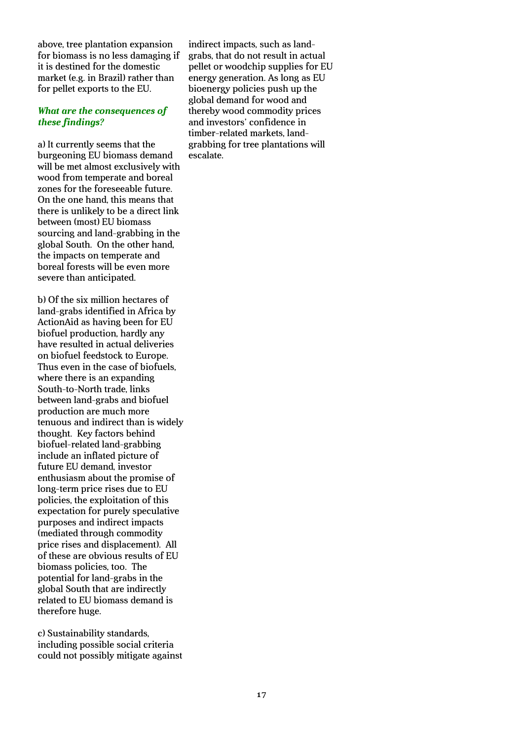above, tree plantation expansion for biomass is no less damaging if it is destined for the domestic market (e.g. in Brazil) rather than for pellet exports to the EU.

#### *What are the consequences of these findings?*

a) It currently seems that the burgeoning EU biomass demand will be met almost exclusively with wood from temperate and boreal zones for the foreseeable future. On the one hand, this means that there is unlikely to be a direct link between (most) EU biomass sourcing and land-grabbing in the global South. On the other hand, the impacts on temperate and boreal forests will be even more severe than anticipated.

b) Of the six million hectares of land-grabs identified in Africa by ActionAid as having been for EU biofuel production, hardly any have resulted in actual deliveries on biofuel feedstock to Europe. Thus even in the case of biofuels, where there is an expanding South-to-North trade, links between land-grabs and biofuel production are much more tenuous and indirect than is widely thought. Key factors behind biofuel-related land-grabbing include an inflated picture of future EU demand, investor enthusiasm about the promise of long-term price rises due to EU policies, the exploitation of this expectation for purely speculative purposes and indirect impacts (mediated through commodity price rises and displacement). All of these are obvious results of EU biomass policies, too. The potential for land-grabs in the global South that are indirectly related to EU biomass demand is therefore huge.

c) Sustainability standards, including possible social criteria could not possibly mitigate against

indirect impacts, such as landgrabs, that do not result in actual pellet or woodchip supplies for EU energy generation. As long as EU bioenergy policies push up the global demand for wood and thereby wood commodity prices and investors' confidence in timber-related markets, landgrabbing for tree plantations will escalate.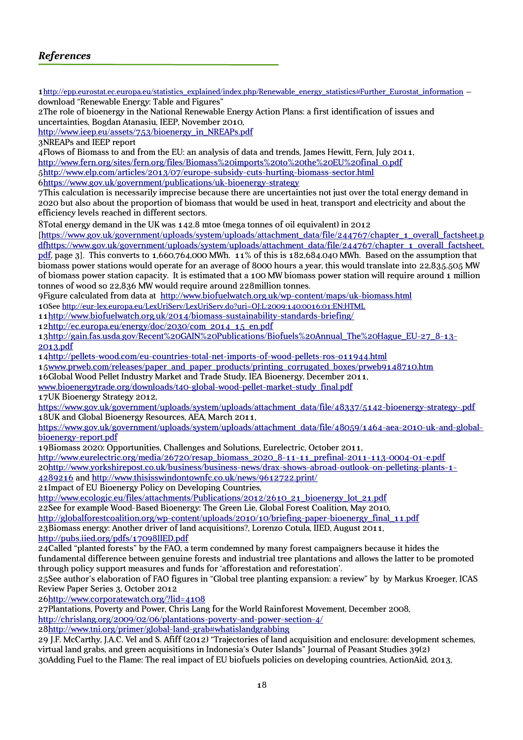1 [http://epp.eurostat.ec.europa.eu/statistics\\_explained/index.php/Renewable\\_energy\\_statistics#Further\\_Eurostat\\_information](http://epp.eurostat.ec.europa.eu/statistics_explained/index.php/Renewable_energy_statistics#Further_Eurostat_information) – download "Renewable Energy: Table and Figures" 2The role of bioenergy in the National Renewable Energy Action Plans: a first identification of issues and uncertainties, Bogdan Atanasiu, IEEP, November 2010, [http://www.ieep.eu/assets/753/bioenergy\\_in\\_NREAPs.pdf](http://www.ieep.eu/assets/753/bioenergy_in_NREAPs.pdf) 3NREAPs and IEEP report 4Flows of Biomass to and from the EU: an analysis of data and trends, James Hewitt, Fern, July 2011, [http://www.fern.org/sites/fern.org/files/Biomass%20imports%20to%20the%20EU%20final\\_0.pdf](http://www.fern.org/sites/fern.org/files/Biomass%20imports%20to%20the%20EU%20final_0.pdf)  [5 http://www.elp.com/articles/2013/07/europe-subsidy-cuts-hurting-biomass-sector.html](http://www.elp.com/articles/2013/07/europe-subsidy-cuts-hurting-biomass-sector.html) [6https://www.gov.uk/government/publications/uk-bioenergy-strategy](https://www.gov.uk/government/publications/uk-bioenergy-strategy) 7This calculation is necessarily imprecise because there are uncertainties not just over the total energy demand in 2020 but also about the proportion of biomass that would be used in heat, transport and electricity and about the efficiency levels reached in different sectors. 8Total energy demand in the UK was 142.8 mtoe (mega tonnes of oil equivalent) in 2012 [\[https://www.gov.uk/government/uploads/system/uploads/attachment\\_data/file/244767/chapter\\_1\\_overall\\_factsheet.p](https://www.gov.uk/government/uploads/system/uploads/attachment_data/file/244767/chapter_1_overall_factsheet.pdfhttps:/www.gov.uk/government/uploads/system/uploads/attachment_data/file/244767/chapter_1_overall_factsheet.pdf) [dfhttps://www.gov.uk/government/uploads/system/uploads/attachment\\_data/file/244767/chapter\\_1\\_overall\\_factsheet.](https://www.gov.uk/government/uploads/system/uploads/attachment_data/file/244767/chapter_1_overall_factsheet.pdfhttps:/www.gov.uk/government/uploads/system/uploads/attachment_data/file/244767/chapter_1_overall_factsheet.pdf) [pdf,](https://www.gov.uk/government/uploads/system/uploads/attachment_data/file/244767/chapter_1_overall_factsheet.pdfhttps:/www.gov.uk/government/uploads/system/uploads/attachment_data/file/244767/chapter_1_overall_factsheet.pdf) page 3]. This converts to 1,660,764,000 MWh. 11% of this is 182,684.040 MWh. Based on the assumption that biomass power stations would operate for an average of 8000 hours a year, this would translate into 22,835.505 MW of biomass power station capacity. It is estimated that a 100 MW biomass power station will require around 1 million tonnes of wood so 22,836 MW would require around 228million tonnes. 9Figure calculated from data at <http://www.biofuelwatch.org.uk/wp-content/maps/uk-biomass.html> 10See<http://eur-lex.europa.eu/LexUriServ/LexUriServ.do?uri=OJ:L:2009:140:0016:01:EN:HTML> 1[1 http://www.biofuelwatch.org.uk/2014/biomass-sustainability-standards-briefing/](http://www.biofuelwatch.org.uk/2014/biomass-sustainability-standards-briefing/) 1[2http://ec.europa.eu/energy/doc/2030/com\\_2014\\_15\\_en.pdf](http://ec.europa.eu/energy/doc/2030/com_2014_15_en.pdf) 1[3http://gain.fas.usda.gov/Recent%20GAIN%20Publications/Biofuels%20Annual\\_The%20Hague\\_EU-27\\_8-13-](http://gain.fas.usda.gov/Recent%20GAIN%20Publications/Biofuels%20Annual_The%20Hague_EU-27_8-13-2013.pdf) [2013.pdf](http://gain.fas.usda.gov/Recent%20GAIN%20Publications/Biofuels%20Annual_The%20Hague_EU-27_8-13-2013.pdf) 1[4http://pellets-wood.com/eu-countries-total-net-imports-of-wood-pellets-ros-o11944.html](http://pellets-wood.com/eu-countries-total-net-imports-of-wood-pellets-ros-o11944.html) 1[5www.prweb.com/releases/paper\\_and\\_paper\\_products/printing\\_corrugated\\_boxes/prweb9148710.htm](http://www.prweb.com/releases/paper_and_paper_products/printing_corrugated_boxes/prweb9148710.htm) 16Global Wood Pellet Industry Market and Trade Study, IEA Bioenergy, December 2011, [www.bioenergytrade.org/downloads/t40-global-wood-pellet-market-study\\_final.pdf](http://www.bioenergytrade.org/downloads/t40-global-wood-pellet-market-study_final.pdf) 17UK Bioenergy Strategy 2012, [https://www.gov.uk/government/uploads/system/uploads/attachment\\_data/file/48337/5142-bioenergy-strategy-.pdf](https://www.gov.uk/government/uploads/system/uploads/attachment_data/file/48337/5142-bioenergy-strategy-.pdf) 18UK and Global Bioenergy Resources, AEA, March 2011, [https://www.gov.uk/government/uploads/system/uploads/attachment\\_data/file/48059/1464-aea-2010-uk-and-global](https://www.gov.uk/government/uploads/system/uploads/attachment_data/file/48059/1464-aea-2010-uk-and-global-bioenergy-report.pdf)[bioenergy-report.pdf](https://www.gov.uk/government/uploads/system/uploads/attachment_data/file/48059/1464-aea-2010-uk-and-global-bioenergy-report.pdf) 19Biomass 2020: Opportunities, Challenges and Solutions, Eurelectric, October 2011, [http://www.eurelectric.org/media/26720/resap\\_biomass\\_2020\\_8-11-11\\_prefinal-2011-113-0004-01-e.pdf](http://www.eurelectric.org/media/26720/resap_biomass_2020_8-11-11_prefinal-2011-113-0004-01-e.pdf) 2[0 http://www.yorkshirepost.co.uk/business/business-news/drax-shows-abroad-outlook-on-pelleting-plants-1-](http://www.yorkshirepost.co.uk/business/business-news/drax-shows-abroad-outlook-on-pelleting-plants-1-4289216) [4289216](http://www.yorkshirepost.co.uk/business/business-news/drax-shows-abroad-outlook-on-pelleting-plants-1-4289216) and<http://www.thisisswindontownfc.co.uk/news/9612722.print/> 21Impact of EU Bioenergy Policy on Developing Countries, [http://www.ecologic.eu/files/attachments/Publications/2012/2610\\_21\\_bioenergy\\_lot\\_21.pdf](http://www.ecologic.eu/files/attachments/Publications/2012/2610_21_bioenergy_lot_21.pdf) 22See for example Wood-Based Bioenergy: The Green Lie, Global Forest Coalition, May 2010, [http://globalforestcoalition.org/wp-content/uploads/2010/10/briefing-paper-bioenergy\\_final\\_11.pdf](http://globalforestcoalition.org/wp-content/uploads/2010/10/briefing-paper-bioenergy_final_11.pdf) 23Biomass energy: Another driver of land acquisitions?, Lorenzo Cotula, IIED, August 2011, <http://pubs.iied.org/pdfs/17098IIED.pdf> 24Called "planted forests" by the FAO, a term condemned by many forest campaigners because it hides the fundamental difference between genuine forests and industrial tree plantations and allows the latter to be promoted through policy support measures and funds for 'afforestation and reforestation'. 25See author's elaboration of FAO figures in "Global tree planting expansion: a review" by by Markus Kroeger, ICAS Review Paper Series 3, October 2012 2[6 http://www.corporatewatch.org/?lid=4108](http://www.corporatewatch.org/?lid=4108) 27Plantations, Poverty and Power, Chris Lang for the World Rainforest Movement, December 2008, <http://chrislang.org/2009/02/06/plantations-poverty-and-power-section-4/> 2[8 http://www.tni.org/primer/global-land-grab#whatislandgrabbing](http://www.tni.org/primer/global-land-grab#whatislandgrabbing) 29 J.F. McCarthy, J.A.C. Vel and S. Afiff (2012) "Trajectories of land acquisition and enclosure: development schemes, virtual land grabs, and green acquisitions in Indonesia's Outer Islands" Journal of Peasant Studies 39(2)

30Adding Fuel to the Flame: The real impact of EU biofuels policies on developing countries, ActionAid, 2013,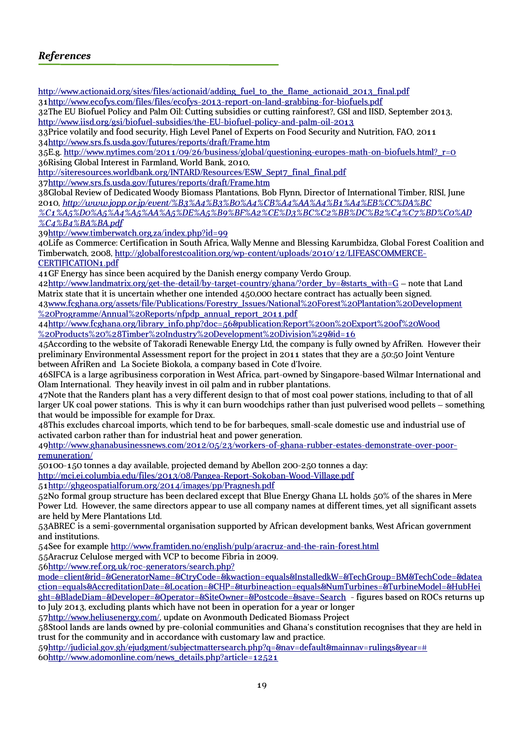## *References*

[http://www.actionaid.org/sites/files/actionaid/adding\\_fuel\\_to\\_the\\_flame\\_actionaid\\_2013\\_final.pdf](http://www.actionaid.org/sites/files/actionaid/adding_fuel_to_the_flame_actionaid_2013_final.pdf) 3[1 http://www.ecofys.com/files/files/ecofys-2013-report-on-land-grabbing-for-biofuels.pdf](http://www.ecofys.com/files/files/ecofys-2013-report-on-land-grabbing-for-biofuels.pdf)

32The EU Biofuel Policy and Palm Oil: Cutting subsidies or cutting rainforest?, GSI and IISD, September 2013, <http://www.iisd.org/gsi/biofuel-subsidies/the-EU-biofuel-policy-and-palm-oil-2013>

33Price volatily and food security, High Level Panel of Experts on Food Security and Nutrition, FAO, 2011 3[4 http://www.srs.fs.usda.gov/futures/reports/draft/Frame.htm](http://www.srs.fs.usda.gov/futures/reports/draft/Frame.htm)

35E.g. [http://www.nytimes.com/2011/09/26/business/global/questioning-europes-math-on-biofuels.html?\\_r=0](http://www.nytimes.com/2011/09/26/business/global/questioning-europes-math-on-biofuels.html?_r=0) 36Rising Global Interest in Farmland, World Bank, 2010,

[http://siteresources.worldbank.org/INTARD/Resources/ESW\\_Sept7\\_final\\_final.pdf](http://siteresources.worldbank.org/INTARD/Resources/ESW_Sept7_final_final.pdf)

3[7 http://www.srs.fs.usda.gov/futures/reports/draft/Frame.htm](http://www.srs.fs.usda.gov/futures/reports/draft/Frame.htm)

38Global Review of Dedicated Woody Biomass Plantations, Bob Flynn, Director of International Timber, RISI, June 2010, *[http://www.jopp.or.jp/event/%B3%A4%B3%B0%A4%CB%A4%AA%A4%B1%A4%EB%CC%DA%BC](http://www.jopp.or.jp/event/%B3%A4%B3%B0%A4%CB%A4%AA%A4%B1%A4%EB%CC%DA%BC%C1%A5%D0%A5%A4%A5%AA%A5%DE%A5%B9%BF%A2%CE%D3%BC%C2%BB%DC%B2%C4%C7%BD%C0%AD%C4%B4%BA%BA.pdf) [%C1%A5%D0%A5%A4%A5%AA%A5%DE%A5%B9%BF%A2%CE%D3%BC%C2%BB%DC%B2%C4%C7%BD%C0%AD](http://www.jopp.or.jp/event/%B3%A4%B3%B0%A4%CB%A4%AA%A4%B1%A4%EB%CC%DA%BC%C1%A5%D0%A5%A4%A5%AA%A5%DE%A5%B9%BF%A2%CE%D3%BC%C2%BB%DC%B2%C4%C7%BD%C0%AD%C4%B4%BA%BA.pdf)*

*[%C4%B4%BA%BA.pdf](http://www.jopp.or.jp/event/%B3%A4%B3%B0%A4%CB%A4%AA%A4%B1%A4%EB%CC%DA%BC%C1%A5%D0%A5%A4%A5%AA%A5%DE%A5%B9%BF%A2%CE%D3%BC%C2%BB%DC%B2%C4%C7%BD%C0%AD%C4%B4%BA%BA.pdf)*

3[9 http://www.timberwatch.org.za/index.php?id=99](http://www.timberwatch.org.za/index.php?id=99)

40Life as Commerce: Certification in South Africa, Wally Menne and Blessing Karumbidza, Global Forest Coalition and Timberwatch, 2008, [http://globalforestcoalition.org/wp-content/uploads/2010/12/LIFEASCOMMERCE-](http://globalforestcoalition.org/wp-content/uploads/2010/12/LIFEASCOMMERCE-CERTIFICATION1.pdf)[CERTIFICATION1.pdf](http://globalforestcoalition.org/wp-content/uploads/2010/12/LIFEASCOMMERCE-CERTIFICATION1.pdf)

41GF Energy has since been acquired by the Danish energy company Verdo Group.

4[2 http://www.landmatrix.org/get-the-detail/by-target-country/ghana/?order\\_by=&starts\\_with=G](http://www.landmatrix.org/get-the-detail/by-target-country/ghana/?order_by=&starts_with=G) – note that Land Matrix state that it is uncertain whether one intended 450,000 hectare contract has actually been signed. 4[3www.fcghana.org/assets/file/Publications/Forestry\\_Issues/National%20Forest%20Plantation%20Development](http://www.fcghana.org/assets/file/Publications/Forestry_Issues/National%20Forest%20Plantation%20Development%20Programme/Annual%20Reports/nfpdp_annual_report_2011.pdf)

[%20Programme/Annual%20Reports/nfpdp\\_annual\\_report\\_2011.pdf](http://www.fcghana.org/assets/file/Publications/Forestry_Issues/National%20Forest%20Plantation%20Development%20Programme/Annual%20Reports/nfpdp_annual_report_2011.pdf) 4[4http://www.fcghana.org/library\\_info.php?doc=56&publication:Report%20on%20Export%20of%20Wood](http://www.fcghana.org/library_info.php?doc=56&publication:Report%20on%20Export%20of%20Wood%20Products%20(Timber%20Industry%20Development%20Division)&id=16) [%20Products%20%28Timber%20Industry%20Development%20Division%29&id=16](http://www.fcghana.org/library_info.php?doc=56&publication:Report%20on%20Export%20of%20Wood%20Products%20(Timber%20Industry%20Development%20Division)&id=16)

45According to the website of Takoradi Renewable Energy Ltd, the company is fully owned by AfriRen. However their preliminary Environmental Assessment report for the project in 2011 states that they are a 50:50 Joint Venture between AfriRen and La Societe Biokola, a company based in Cote d'Ivoire.

46SIFCA is a large agribusiness corporation in West Africa, part-owned by Singapore-based Wilmar International and Olam International. They heavily invest in oil palm and in rubber plantations.

47Note that the Randers plant has a very different design to that of most coal power stations, including to that of all larger UK coal power stations. This is why it can burn woodchips rather than just pulverised wood pellets – something that would be impossible for example for Drax.

48This excludes charcoal imports, which tend to be for barbeques, small-scale domestic use and industrial use of activated carbon rather than for industrial heat and power generation.

4[9 http://www.ghanabusinessnews.com/2012/05/23/workers-of-ghana-rubber-estates-demonstrate-over-poor](http://www.ghanabusinessnews.com/2012/05/23/workers-of-ghana-rubber-estates-demonstrate-over-poor-remuneration/)[remuneration/](http://www.ghanabusinessnews.com/2012/05/23/workers-of-ghana-rubber-estates-demonstrate-over-poor-remuneration/)

50100-150 tonnes a day available, projected demand by Abellon 200-250 tonnes a day:

<http://mci.ei.columbia.edu/files/2013/08/Pangea-Report-Sokoban-Wood-Village.pdf>

5[1 http://ghgeospatialforum.org/2014/images/pp/Pragnesh.pdf](http://ghgeospatialforum.org/2014/images/pp/Pragnesh.pdf)

52No formal group structure has been declared except that Blue Energy Ghana LL holds 50% of the shares in Mere Power Ltd. However, the same directors appear to use all company names at different times, yet all significant assets are held by Mere Plantations Ltd.

53ABREC is a semi-governmental organisation supported by African development banks, West African government and institutions.

54See for example<http://www.framtiden.no/english/pulp/aracruz-and-the-rain-forest.html> 55Aracruz Celulose merged with VCP to become Fibria in 2009.

5[6 http://www.ref.org.uk/roc-generators/search.php?](http://www.ref.org.uk/roc-generators/search.php?mode=client&rid=&GeneratorName=&CtryCode=&kwaction=equals&InstalledkW=&TechGroup=BM&TechCode=&dateaction=equals&AccreditationDate=&Location=&CHP=&turbineaction=equals&NumTurbines=&TurbineModel=&HubHeight=&BladeDiam=&Developer=&Operator=&SiteOwner=&Postcode=&save=Search)

[mode=client&rid=&GeneratorName=&CtryCode=&kwaction=equals&InstalledkW=&TechGroup=BM&TechCode=&datea](http://www.ref.org.uk/roc-generators/search.php?mode=client&rid=&GeneratorName=&CtryCode=&kwaction=equals&InstalledkW=&TechGroup=BM&TechCode=&dateaction=equals&AccreditationDate=&Location=&CHP=&turbineaction=equals&NumTurbines=&TurbineModel=&HubHeight=&BladeDiam=&Developer=&Operator=&SiteOwner=&Postcode=&save=Search) ction=equals&AccreditationDate=&Location=&CHP=&turbineaction=equals&NumTurbines=&TurbineModel=&HubHei [ght=&BladeDiam=&Developer=&Operator=&SiteOwner=&Postcode=&save=Search](http://www.ref.org.uk/roc-generators/search.php?mode=client&rid=&GeneratorName=&CtryCode=&kwaction=equals&InstalledkW=&TechGroup=BM&TechCode=&dateaction=equals&AccreditationDate=&Location=&CHP=&turbineaction=equals&NumTurbines=&TurbineModel=&HubHeight=&BladeDiam=&Developer=&Operator=&SiteOwner=&Postcode=&save=Search) - figures based on ROCs returns up to July 2013, excluding plants which have not been in operation for a year or longer

5[7 http://www.heliusenergy.com/,](http://www.heliusenergy.com/) update on Avonmouth Dedicated Biomass Project

58Stool lands are lands owned by pre-colonial communities and Ghana's constitution recognises that they are held in trust for the community and in accordance with customary law and practice.

5[9 http://judicial.gov.gh/ejudgment/subjectmattersearch.php?q=&nav=default&mainnav=rulings&year=#](http://judicial.gov.gh/ejudgment/subjectmattersearch.php?q=&nav=default&mainnav=rulings&year=) 6[0http://www.adomonline.com/news\\_details.php?article=12521](http://www.adomonline.com/news_details.php?article=12521)